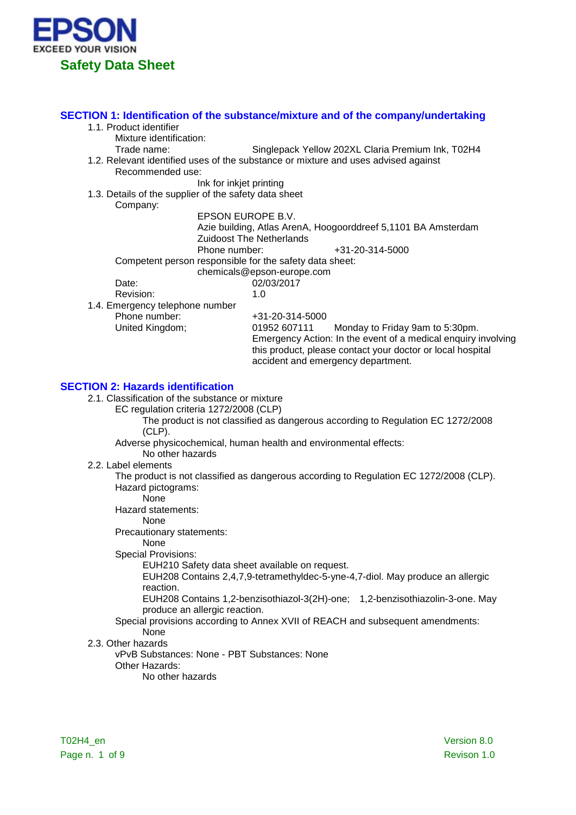

### **SECTION 1: Identification of the substance/mixture and of the company/undertaking**

- 1.1. Product identifier
	- Mixture identification:
		- Trade name: Singlepack Yellow 202XL Claria Premium Ink, T02H4
- 1.2. Relevant identified uses of the substance or mixture and uses advised against

Recommended use:

Ink for inkjet printing

1.3. Details of the supplier of the safety data sheet

Company:

EPSON EUROPE B.V.

Azie building, Atlas ArenA, Hoogoorddreef 5,1101 BA Amsterdam Zuidoost The Netherlands

Phone number:  $+31-20-314-5000$ 

Competent person responsible for the safety data sheet:

chemicals@epson-europe.com

Date: 02/03/2017<br>Revision: 10<br>10

Revision:

1.4. Emergency telephone number

Phone number: +31-20-314-5000<br>
United Kingdom: 01952 607111 Monday to Friday 9am to 5:30pm. Emergency Action: In the event of a medical enquiry involving this product, please contact your doctor or local hospital accident and emergency department.

## **SECTION 2: Hazards identification**

- 2.1. Classification of the substance or mixture
	- EC regulation criteria 1272/2008 (CLP)

The product is not classified as dangerous according to Regulation EC 1272/2008 (CLP).

Adverse physicochemical, human health and environmental effects:

- No other hazards
- 2.2. Label elements

The product is not classified as dangerous according to Regulation EC 1272/2008 (CLP). Hazard pictograms:

None

Hazard statements:

None

Precautionary statements:

None

Special Provisions:

EUH210 Safety data sheet available on request.

EUH208 Contains 2,4,7,9-tetramethyldec-5-yne-4,7-diol. May produce an allergic reaction.

EUH208 Contains 1,2-benzisothiazol-3(2H)-one; 1,2-benzisothiazolin-3-one. May produce an allergic reaction.

#### Special provisions according to Annex XVII of REACH and subsequent amendments: None

2.3. Other hazards

vPvB Substances: None - PBT Substances: None

- Other Hazards:
	- No other hazards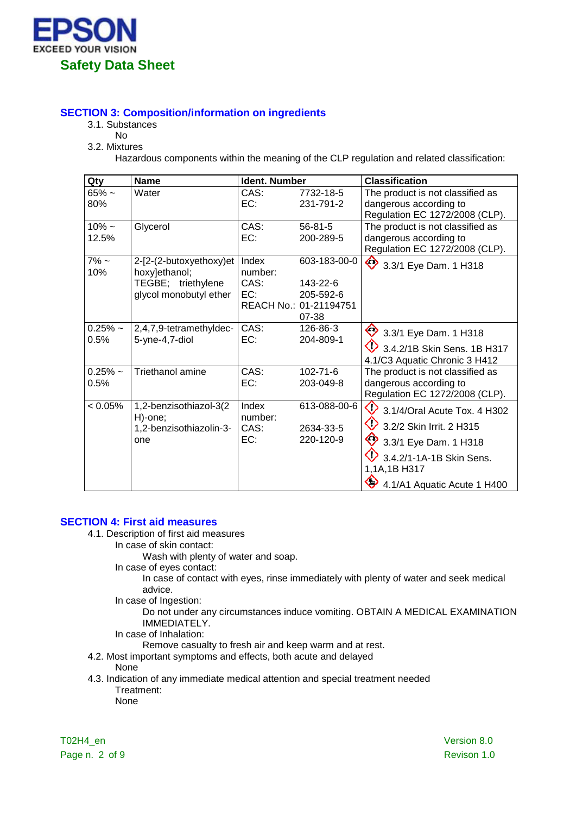

# **SECTION 3: Composition/information on ingredients**

- 3.1. Substances
	- No
- 3.2. Mixtures

Hazardous components within the meaning of the CLP regulation and related classification:

| Qty                | <b>Name</b>                                                                              | <b>Ident. Number</b>            |                                                                          | <b>Classification</b>                                                                                                                                                            |
|--------------------|------------------------------------------------------------------------------------------|---------------------------------|--------------------------------------------------------------------------|----------------------------------------------------------------------------------------------------------------------------------------------------------------------------------|
| $65% \sim$<br>80%  | Water                                                                                    | CAS:<br>EC:                     | 7732-18-5<br>231-791-2                                                   | The product is not classified as<br>dangerous according to<br>Regulation EC 1272/2008 (CLP).                                                                                     |
| $10\% -$<br>12.5%  | Glycerol                                                                                 | CAS:<br>EC:                     | $56 - 81 - 5$<br>200-289-5                                               | The product is not classified as<br>dangerous according to<br>Regulation EC 1272/2008 (CLP).                                                                                     |
| $7\%$ ~<br>10%     | 2-[2-(2-butoxyethoxy)et<br>hoxy]ethanol;<br>TEGBE; triethylene<br>glycol monobutyl ether | Index<br>number:<br>CAS:<br>EC: | 603-183-00-0<br>143-22-6<br>205-592-6<br>REACH No.: 01-21194751<br>07-38 | ♦<br>3.3/1 Eye Dam. 1 H318                                                                                                                                                       |
| $0.25%$ ~<br>0.5%  | 2,4,7,9-tetramethyldec-<br>5-yne-4,7-diol                                                | CAS:<br>EC:                     | 126-86-3<br>204-809-1                                                    | 3.3/1 Eye Dam. 1 H318<br>3.4.2/1B Skin Sens. 1B H317<br>4.1/C3 Aquatic Chronic 3 H412                                                                                            |
| $0.25\%$ ~<br>0.5% | Triethanol amine                                                                         | CAS:<br>EC:                     | $102 - 71 - 6$<br>203-049-8                                              | The product is not classified as<br>dangerous according to<br>Regulation EC 1272/2008 (CLP).                                                                                     |
| $< 0.05\%$         | 1,2-benzisothiazol-3(2<br>H)-one;<br>1,2-benzisothiazolin-3-<br>one                      | Index<br>number:<br>CAS:<br>EC: | 613-088-00-6<br>2634-33-5<br>220-120-9                                   | ◇<br>3.1/4/Oral Acute Tox. 4 H302<br>◇<br>3.2/2 Skin Irrit. 2 H315<br>♦<br>3.3/1 Eye Dam. 1 H318<br>3.4.2/1-1A-1B Skin Sens.<br>1,1A,1B H317<br>◇<br>4.1/A1 Aquatic Acute 1 H400 |

# **SECTION 4: First aid measures**

- 4.1. Description of first aid measures
	- In case of skin contact:

Wash with plenty of water and soap.

In case of eyes contact:

In case of contact with eyes, rinse immediately with plenty of water and seek medical advice.

In case of Ingestion:

Do not under any circumstances induce vomiting. OBTAIN A MEDICAL EXAMINATION IMMEDIATELY.

In case of Inhalation:

Remove casualty to fresh air and keep warm and at rest.

4.2. Most important symptoms and effects, both acute and delayed

None

4.3. Indication of any immediate medical attention and special treatment needed Treatment:

None

T02H4\_en Version 8.0 Page n. 2 of 9 Revison 1.0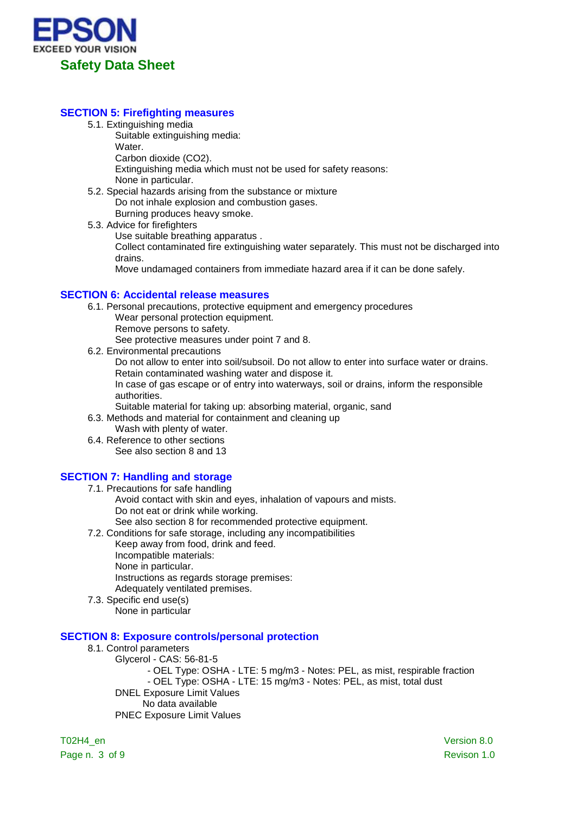

## **SECTION 5: Firefighting measures**

- 5.1. Extinguishing media
	- Suitable extinguishing media:
	- Water.

Carbon dioxide (CO2).

Extinguishing media which must not be used for safety reasons: None in particular.

- 5.2. Special hazards arising from the substance or mixture Do not inhale explosion and combustion gases. Burning produces heavy smoke.
- 5.3. Advice for firefighters

Use suitable breathing apparatus .

Collect contaminated fire extinguishing water separately. This must not be discharged into drains.

Move undamaged containers from immediate hazard area if it can be done safely.

### **SECTION 6: Accidental release measures**

- 6.1. Personal precautions, protective equipment and emergency procedures
	- Wear personal protection equipment.
	- Remove persons to safety.

See protective measures under point 7 and 8.

6.2. Environmental precautions

Do not allow to enter into soil/subsoil. Do not allow to enter into surface water or drains. Retain contaminated washing water and dispose it.

In case of gas escape or of entry into waterways, soil or drains, inform the responsible authorities.

Suitable material for taking up: absorbing material, organic, sand

6.3. Methods and material for containment and cleaning up

- Wash with plenty of water.
- 6.4. Reference to other sections See also section 8 and 13

# **SECTION 7: Handling and storage**

- 7.1. Precautions for safe handling Avoid contact with skin and eyes, inhalation of vapours and mists. Do not eat or drink while working. See also section 8 for recommended protective equipment.
- 7.2. Conditions for safe storage, including any incompatibilities
	- Keep away from food, drink and feed. Incompatible materials: None in particular. Instructions as regards storage premises: Adequately ventilated premises.
- 7.3. Specific end use(s) None in particular

### **SECTION 8: Exposure controls/personal protection**

- 8.1. Control parameters
	- Glycerol CAS: 56-81-5

- OEL Type: OSHA - LTE: 5 mg/m3 - Notes: PEL, as mist, respirable fraction - OEL Type: OSHA - LTE: 15 mg/m3 - Notes: PEL, as mist, total dust DNEL Exposure Limit Values No data available

PNEC Exposure Limit Values

T02H4\_en Version 8.0 Page n. 3 of 9 Revison 1.0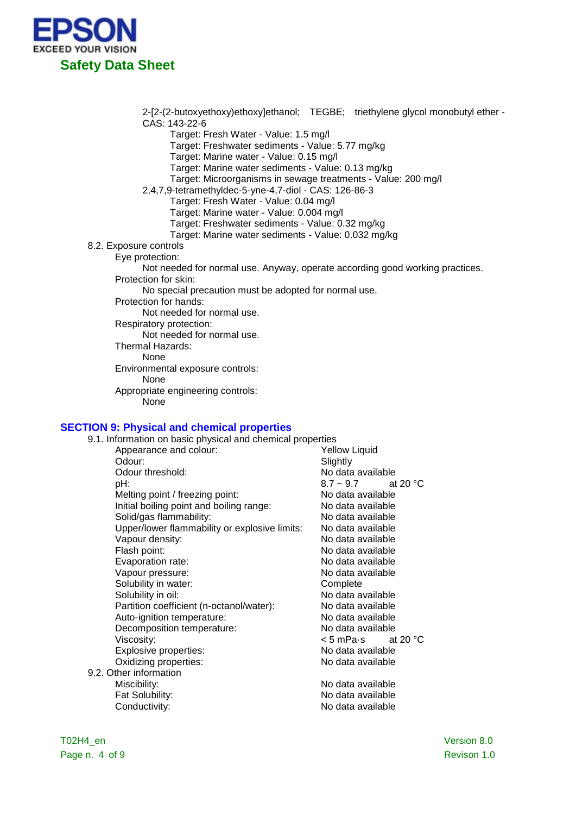

2-[2-(2-butoxyethoxy)ethoxy]ethanol; TEGBE; triethylene glycol monobutyl ether - CAS: 143-22-6

Target: Fresh Water - Value: 1.5 mg/l

Target: Freshwater sediments - Value: 5.77 mg/kg

Target: Marine water - Value: 0.15 mg/l

Target: Marine water sediments - Value: 0.13 mg/kg

- Target: Microorganisms in sewage treatments Value: 200 mg/l
- 2,4,7,9-tetramethyldec-5-yne-4,7-diol CAS: 126-86-3
	- Target: Fresh Water Value: 0.04 mg/l

Target: Marine water - Value: 0.004 mg/l

- Target: Freshwater sediments Value: 0.32 mg/kg
- Target: Marine water sediments Value: 0.032 mg/kg

8.2. Exposure controls

Eye protection:

Not needed for normal use. Anyway, operate according good working practices. Protection for skin:

- No special precaution must be adopted for normal use.
- Protection for hands:

Not needed for normal use.

Respiratory protection:

Not needed for normal use.

Thermal Hazards:

None

Environmental exposure controls:

None

Appropriate engineering controls:

None

#### **SECTION 9: Physical and chemical properties**

9.1. Information on basic physical and chemical properties Appearance and colour: <br>
Odour: Slightly<br>
Odour: Slightly Slightly Odour threshold:  $\overline{OA} = 8.7 \times 9.7$  at the bH: pH: 8.7 ~ 9.7 at 20 °C Melting point / freezing point: No data available<br>
Initial boiling point and boiling range: No data available Initial boiling point and boiling range: No data available<br>Solid/gas flammability: No data available Solid/gas flammability:<br>
Unner/lower flammability or explosive limits: No data available Upper/lower flammability or explosive limits: Vapour density:<br>
Flash point:<br>
Flash point:<br>
No data available Flash point:<br>
Evaporation rate:<br>
Evaporation rate:<br>
No data available No data available Vapour pressure: No data available Solubility in water: Complete Solubility in oil: No data available Partition coefficient (n-octanol/water): No data available<br>Auto-ignition temperature: No data available Auto-ignition temperature: Decomposition temperature: No data available Viscosity:  $\leq$  5 mPa·s at 20 °C <br>Explosive properties:  $\leq$  No data available Explosive properties: Oxidizing properties: No data available 9.2. Other information<br>Miscibility: No data available Fat Solubility: No data available Conductivity: Conductivity: No data available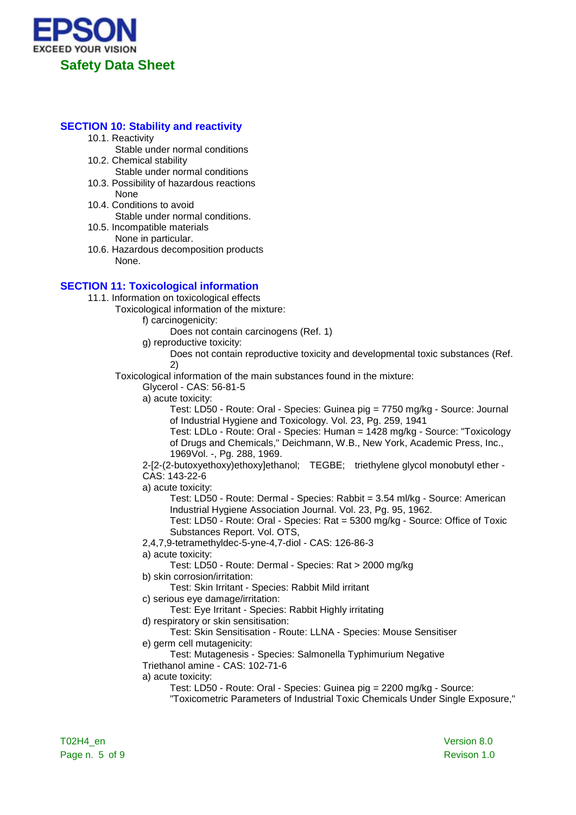

## **SECTION 10: Stability and reactivity**

- 10.1. Reactivity
- Stable under normal conditions 10.2. Chemical stability
- Stable under normal conditions
- 10.3. Possibility of hazardous reactions None
- 10.4. Conditions to avoid Stable under normal conditions.
- 10.5. Incompatible materials None in particular.
- 10.6. Hazardous decomposition products None.

# **SECTION 11: Toxicological information**

11.1. Information on toxicological effects

- Toxicological information of the mixture:
	- f) carcinogenicity:
		- Does not contain carcinogens (Ref. 1)

g) reproductive toxicity:

Does not contain reproductive toxicity and developmental toxic substances (Ref. 2)

Toxicological information of the main substances found in the mixture:

Glycerol - CAS: 56-81-5

a) acute toxicity:

Test: LD50 - Route: Oral - Species: Guinea pig = 7750 mg/kg - Source: Journal of Industrial Hygiene and Toxicology. Vol. 23, Pg. 259, 1941

Test: LDLo - Route: Oral - Species: Human = 1428 mg/kg - Source: "Toxicology of Drugs and Chemicals," Deichmann, W.B., New York, Academic Press, Inc., 1969Vol. -, Pg. 288, 1969.

2-[2-(2-butoxyethoxy)ethoxy]ethanol; TEGBE; triethylene glycol monobutyl ether - CAS: 143-22-6

a) acute toxicity:

Test: LD50 - Route: Dermal - Species: Rabbit = 3.54 ml/kg - Source: American Industrial Hygiene Association Journal. Vol. 23, Pg. 95, 1962.

Test: LD50 - Route: Oral - Species: Rat = 5300 mg/kg - Source: Office of Toxic Substances Report. Vol. OTS,

2,4,7,9-tetramethyldec-5-yne-4,7-diol - CAS: 126-86-3

a) acute toxicity:

Test: LD50 - Route: Dermal - Species: Rat > 2000 mg/kg

b) skin corrosion/irritation:

Test: Skin Irritant - Species: Rabbit Mild irritant

c) serious eye damage/irritation:

Test: Eye Irritant - Species: Rabbit Highly irritating

d) respiratory or skin sensitisation:

Test: Skin Sensitisation - Route: LLNA - Species: Mouse Sensitiser e) germ cell mutagenicity:

Test: Mutagenesis - Species: Salmonella Typhimurium Negative Triethanol amine - CAS: 102-71-6

a) acute toxicity:

Test: LD50 - Route: Oral - Species: Guinea pig = 2200 mg/kg - Source:

"Toxicometric Parameters of Industrial Toxic Chemicals Under Single Exposure,"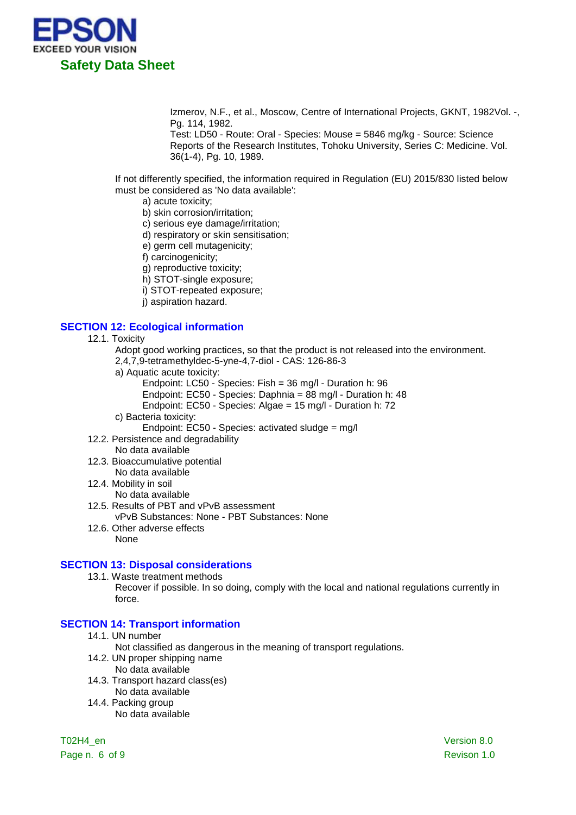

Izmerov, N.F., et al., Moscow, Centre of International Projects, GKNT, 1982Vol. -, Pg. 114, 1982.

Test: LD50 - Route: Oral - Species: Mouse = 5846 mg/kg - Source: Science Reports of the Research Institutes, Tohoku University, Series C: Medicine. Vol. 36(1-4), Pg. 10, 1989.

If not differently specified, the information required in Regulation (EU) 2015/830 listed below must be considered as 'No data available':

- a) acute toxicity;
- b) skin corrosion/irritation;
- c) serious eye damage/irritation;
- d) respiratory or skin sensitisation;
- e) germ cell mutagenicity;
- f) carcinogenicity;
- g) reproductive toxicity;
- h) STOT-single exposure;
- i) STOT-repeated exposure;
- j) aspiration hazard.

### **SECTION 12: Ecological information**

12.1. Toxicity

Adopt good working practices, so that the product is not released into the environment.

- 2,4,7,9-tetramethyldec-5-yne-4,7-diol CAS: 126-86-3
- a) Aquatic acute toxicity:
	- Endpoint: LC50 Species: Fish = 36 mg/l Duration h: 96
	- Endpoint: EC50 Species: Daphnia = 88 mg/l Duration h: 48
	- Endpoint: EC50 Species: Algae = 15 mg/l Duration h: 72
- c) Bacteria toxicity:
	- Endpoint: EC50 Species: activated sludge = mg/l
- 12.2. Persistence and degradability
- No data available
- 12.3. Bioaccumulative potential
	- No data available
- 12.4. Mobility in soil
	- No data available
- 12.5. Results of PBT and vPvB assessment
	- vPvB Substances: None PBT Substances: None
- 12.6. Other adverse effects None
	-

#### **SECTION 13: Disposal considerations**

13.1. Waste treatment methods

Recover if possible. In so doing, comply with the local and national regulations currently in force.

#### **SECTION 14: Transport information**

14.1. UN number

Not classified as dangerous in the meaning of transport regulations.

- 14.2. UN proper shipping name
	- No data available
- 14.3. Transport hazard class(es) No data available
- 14.4. Packing group
	- No data available

Page n. 6 of 9 Revison 1.0

T02H4\_en Version 8.0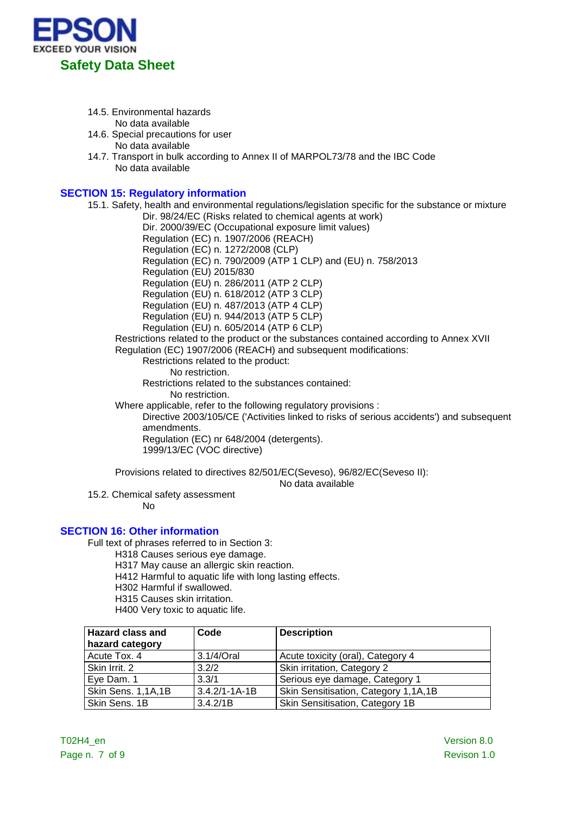

- 14.5. Environmental hazards
	- No data available
- 14.6. Special precautions for user No data available
- 14.7. Transport in bulk according to Annex II of MARPOL73/78 and the IBC Code No data available

# **SECTION 15: Regulatory information**

15.1. Safety, health and environmental regulations/legislation specific for the substance or mixture Dir. 98/24/EC (Risks related to chemical agents at work) Dir. 2000/39/EC (Occupational exposure limit values) Regulation (EC) n. 1907/2006 (REACH) Regulation (EC) n. 1272/2008 (CLP) Regulation (EC) n. 790/2009 (ATP 1 CLP) and (EU) n. 758/2013 Regulation (EU) 2015/830 Regulation (EU) n. 286/2011 (ATP 2 CLP) Regulation (EU) n. 618/2012 (ATP 3 CLP) Regulation (EU) n. 487/2013 (ATP 4 CLP) Regulation (EU) n. 944/2013 (ATP 5 CLP) Regulation (EU) n. 605/2014 (ATP 6 CLP) Restrictions related to the product or the substances contained according to Annex XVII Regulation (EC) 1907/2006 (REACH) and subsequent modifications: Restrictions related to the product: No restriction. Restrictions related to the substances contained: No restriction. Where applicable, refer to the following regulatory provisions : Directive 2003/105/CE ('Activities linked to risks of serious accidents') and subsequent amendments. Regulation (EC) nr 648/2004 (detergents). 1999/13/EC (VOC directive)

Provisions related to directives 82/501/EC(Seveso), 96/82/EC(Seveso II):

No data available

15.2. Chemical safety assessment

No

### **SECTION 16: Other information**

Full text of phrases referred to in Section 3:

H318 Causes serious eye damage.

H317 May cause an allergic skin reaction.

H412 Harmful to aquatic life with long lasting effects.

H302 Harmful if swallowed.

H315 Causes skin irritation.

H400 Very toxic to aquatic life.

| <b>Hazard class and</b><br>hazard category | Code                | <b>Description</b>                   |
|--------------------------------------------|---------------------|--------------------------------------|
| Acute Tox. 4                               | 3.1/4/Oral          | Acute toxicity (oral), Category 4    |
| Skin Irrit. 2                              | 3.2/2               | Skin irritation, Category 2          |
| Eye Dam. 1                                 | 3.3/1               | Serious eye damage, Category 1       |
| Skin Sens. 1,1A,1B                         | $3.4.2/1 - 1A - 1B$ | Skin Sensitisation, Category 1,1A,1B |
| Skin Sens. 1B                              | 3.4.2/1B            | Skin Sensitisation, Category 1B      |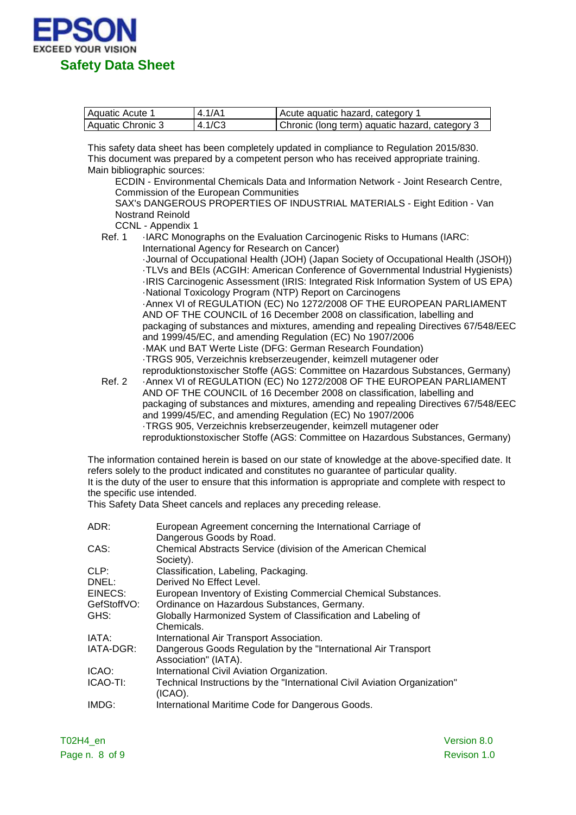

| l Aguatic Acute 1 | 4.1/A1 | Acute aquatic hazard, category 1               |
|-------------------|--------|------------------------------------------------|
| Aquatic Chronic 3 | 4.1/C3 | Chronic (long term) aquatic hazard, category 3 |

This safety data sheet has been completely updated in compliance to Regulation 2015/830. This document was prepared by a competent person who has received appropriate training. Main bibliographic sources:

ECDIN - Environmental Chemicals Data and Information Network - Joint Research Centre, Commission of the European Communities

SAX's DANGEROUS PROPERTIES OF INDUSTRIAL MATERIALS - Eight Edition - Van Nostrand Reinold

CCNL - Appendix 1<br>Ref. 1 : IARC Monod

IARC Monographs on the Evaluation Carcinogenic Risks to Humans (IARC: International Agency for Research on Cancer)

·Journal of Occupational Health (JOH) (Japan Society of Occupational Health (JSOH)) ·TLVs and BEIs (ACGIH: American Conference of Governmental Industrial Hygienists) ·IRIS Carcinogenic Assessment (IRIS: Integrated Risk Information System of US EPA) ·National Toxicology Program (NTP) Report on Carcinogens ·Annex VI of REGULATION (EC) No 1272/2008 OF THE EUROPEAN PARLIAMENT AND OF THE COUNCIL of 16 December 2008 on classification, labelling and packaging of substances and mixtures, amending and repealing Directives 67/548/EEC and 1999/45/EC, and amending Regulation (EC) No 1907/2006 ·MAK und BAT Werte Liste (DFG: German Research Foundation) ·TRGS 905, Verzeichnis krebserzeugender, keimzell mutagener oder reproduktionstoxischer Stoffe (AGS: Committee on Hazardous Substances, Germany)

Ref. 2 · Annex VI of REGULATION (EC) No 1272/2008 OF THE EUROPEAN PARLIAMENT AND OF THE COUNCIL of 16 December 2008 on classification, labelling and packaging of substances and mixtures, amending and repealing Directives 67/548/EEC and 1999/45/EC, and amending Regulation (EC) No 1907/2006 ·TRGS 905, Verzeichnis krebserzeugender, keimzell mutagener oder reproduktionstoxischer Stoffe (AGS: Committee on Hazardous Substances, Germany)

The information contained herein is based on our state of knowledge at the above-specified date. It refers solely to the product indicated and constitutes no guarantee of particular quality. It is the duty of the user to ensure that this information is appropriate and complete with respect to the specific use intended.

This Safety Data Sheet cancels and replaces any preceding release.

| European Agreement concerning the International Carriage of<br>Dangerous Goods by Road. |
|-----------------------------------------------------------------------------------------|
| Chemical Abstracts Service (division of the American Chemical<br>Society).              |
| Classification, Labeling, Packaging.                                                    |
| Derived No Effect Level.                                                                |
| European Inventory of Existing Commercial Chemical Substances.                          |
| Ordinance on Hazardous Substances, Germany.                                             |
| Globally Harmonized System of Classification and Labeling of<br>Chemicals.              |
| International Air Transport Association.                                                |
| Dangerous Goods Regulation by the "International Air Transport"<br>Association" (IATA). |
| International Civil Aviation Organization.                                              |
| Technical Instructions by the "International Civil Aviation Organization"<br>$(ICAO)$ . |
| International Maritime Code for Dangerous Goods.                                        |
|                                                                                         |